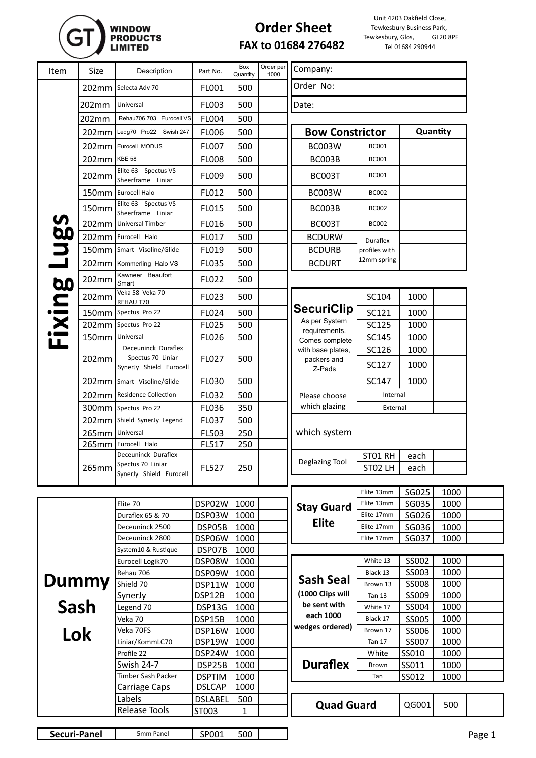## WINDOW<br>Products<br>Limited

## **Order Sheet FAX to 01684 276482**

Unit 4203 Oakfield Close, Tewkesbury Business Park,<br>ewkesbury, Glos, GL20 8PF Tewkesbury, Glos, Tel 01684 290944

| Item         | Size            | Description                                  | Part No.         | Box<br>Quantity | Order per<br>1000 | Company:                                        |                           |                |              |        |
|--------------|-----------------|----------------------------------------------|------------------|-----------------|-------------------|-------------------------------------------------|---------------------------|----------------|--------------|--------|
|              |                 | 202mm Selecta Adv 70                         | FL001            | 500             |                   | Order No:                                       |                           |                |              |        |
|              | 202mm           | Universal                                    | FL003            | 500             |                   | Date:                                           |                           |                |              |        |
|              | 202mm           | Rehau706,703 Eurocell VS                     | <b>FL004</b>     | 500             |                   |                                                 |                           |                |              |        |
|              | 202mm           | Ledg70 Pro22 Swish 247                       | FL006            | 500             |                   | <b>Bow Constrictor</b>                          |                           |                | Quantity     |        |
|              |                 | 202mm Eurocell MODUS                         | FL007            | 500             |                   | <b>BC003W</b>                                   | <b>BC001</b>              |                |              |        |
|              | 202mm KBE 58    |                                              | <b>FL008</b>     | 500             |                   | BC003B                                          | <b>BC001</b>              |                |              |        |
|              |                 | Elite 63 Spectus VS                          |                  |                 |                   |                                                 |                           |                |              |        |
|              | 202mm           | Sheerframe Liniar                            | FL009            | 500             |                   | <b>BC003T</b>                                   | <b>BC001</b>              |                |              |        |
|              |                 | 150mm Eurocell Halo                          | FL012            | 500             |                   | <b>BC003W</b>                                   | <b>BC002</b>              |                |              |        |
|              | 150mm           | Elite 63 Spectus VS<br>Sheerframe Liniar     | FL015            | 500             |                   | BC003B                                          | <b>BC002</b>              |                |              |        |
|              | 202mm           | <b>Universal Timber</b>                      | FL016            | 500             |                   | BC003T                                          | <b>BC002</b>              |                |              |        |
|              | 202mm           | Eurocell Halo                                | FL017            | 500             |                   | <b>BCDURW</b>                                   | Duraflex                  |                |              |        |
|              |                 | 150mm Smart Visoline/Glide                   | FL019            | 500             |                   | <b>BCDURB</b>                                   | profiles with             |                |              |        |
| <b>Lugs</b>  |                 | 202mm Kommerling Halo VS                     | FL035            | 500             |                   | <b>BCDURT</b>                                   | 12mm spring               |                |              |        |
|              | 202mm           | Kawneer Beaufort<br>Smart                    | FL022            | 500             |                   |                                                 |                           |                |              |        |
| Fixing       | 202mm           | Veka 58 Veka 70<br>REHAU T70                 | FL023            | 500             |                   |                                                 | SC104                     | 1000           |              |        |
|              |                 | 150mm Spectus Pro 22                         | FL024            | 500             |                   | <b>SecuriClip</b>                               | SC121                     | 1000           |              |        |
|              |                 | 202mm Spectus Pro 22                         | FL025            | 500             |                   | As per System<br>requirements.                  | SC125                     | 1000           |              |        |
|              | 150mm           | Universal                                    | FL026            | 500             |                   | Comes complete                                  | <b>SC145</b>              | 1000           |              |        |
|              |                 | Deceuninck Duraflex                          |                  |                 |                   | with base plates,                               | SC126                     | 1000           |              |        |
|              | 202mm           | Spectus 70 Liniar<br>SynerJy Shield Eurocell | FL027            | 500             |                   | packers and<br>Z-Pads                           | SC127                     | 1000           |              |        |
|              |                 | 202mm Smart Visoline/Glide                   | FL030            | 500             |                   |                                                 | <b>SC147</b>              | 1000           |              |        |
|              |                 | 202mm Residence Collection                   | FL032            | 500             |                   | Please choose                                   | Internal                  |                |              |        |
|              |                 | 300mm Spectus Pro 22                         | FL036            | 350             |                   | which glazing                                   | External                  |                |              |        |
|              |                 | 202mm Shield SynerJy Legend                  | FL037            | 500             |                   |                                                 |                           |                |              |        |
|              | 265mm Universal |                                              | FL503            | 250             |                   | which system                                    |                           |                |              |        |
|              | 265mm           | Eurocell Halo                                | FL517            | 250             |                   |                                                 |                           |                |              |        |
|              |                 | Deceuninck Duraflex<br>Spectus 70 Liniar     |                  |                 |                   | Deglazing Tool                                  | ST01 RH                   | each           |              |        |
|              | 265mm           | SynerJy Shield Eurocell                      | FL527            | 250             |                   |                                                 | ST02 LH                   | each           |              |        |
|              |                 |                                              |                  |                 |                   |                                                 | Elite 13mm                |                |              |        |
|              |                 | Elite 70                                     | DSP02W           | 1000            |                   |                                                 | Elite 13mm                | SG025<br>SG035 | 1000<br>1000 |        |
|              |                 | Duraflex 65 & 70                             | DSP03W           | 1000            |                   | <b>Stay Guard</b>                               | Elite 17mm                | SG026          | 1000         |        |
|              |                 | Deceuninck 2500                              | DSP05B           | 1000            |                   | <b>Elite</b>                                    | Elite 17mm                | SG036          | 1000         |        |
|              |                 | Deceuninck 2800                              | DSP06W           | 1000            |                   |                                                 | Elite 17mm                | SG037          | 1000         |        |
|              |                 | System10 & Rustique                          | DSP07B           | 1000            |                   |                                                 |                           |                |              |        |
|              |                 | Eurocell Logik70                             | DSP08W           | 1000            |                   |                                                 | White 13                  | SS002          | 1000         |        |
|              |                 | Rehau 706                                    | DSP09W           | 1000            |                   | <b>Sash Seal</b>                                | Black 13                  | SS003          | 1000         |        |
| Dummy        |                 | Shield 70                                    | DSP11W           | 1000            |                   | (1000 Clips will                                | Brown 13                  | SS008          | 1000         |        |
| Sash<br>Lok  |                 | SynerJy<br>Legend 70                         | DSP12B<br>DSP13G | 1000<br>1000    |                   | be sent with                                    | <b>Tan 13</b><br>White 17 | SS009<br>SS004 | 1000<br>1000 |        |
|              |                 | Veka 70                                      | DSP15B           | 1000            |                   | each 1000<br>wedges ordered)<br><b>Duraflex</b> | Black 17                  | SS005          | 1000         |        |
|              |                 | Veka 70FS                                    | DSP16W           | 1000            |                   |                                                 | Brown 17                  | SS006          | 1000         |        |
|              |                 | Liniar/KommLC70                              | DSP19W           | 1000            |                   |                                                 | <b>Tan 17</b>             | SS007          | 1000         |        |
|              |                 | Profile 22                                   | DSP24W           | 1000            |                   |                                                 | White                     | SS010          | 1000         |        |
|              |                 | <b>Swish 24-7</b>                            | DSP25B           | 1000            |                   |                                                 | <b>Brown</b>              | SS011          | 1000         |        |
|              |                 | Timber Sash Packer                           | <b>DSPTIM</b>    | 1000            |                   |                                                 | Tan                       | SS012          | 1000         |        |
|              |                 | Carriage Caps                                | <b>DSLCAP</b>    | 1000            |                   |                                                 |                           |                |              |        |
|              |                 | Labels                                       | <b>DSLABEL</b>   | 500             |                   | <b>Quad Guard</b>                               |                           | QG001          | 500          |        |
|              |                 | Release Tools                                | ST003            | 1               |                   |                                                 |                           |                |              |        |
| Securi-Panel |                 | 5mm Panel                                    | SP001            | 500             |                   |                                                 |                           |                |              |        |
|              |                 |                                              |                  |                 |                   |                                                 |                           |                |              | Page 1 |

| Securi-Panel | 5 <sub>mm</sub><br>Panel<br>-------------- | SP001 | 500 | oape |
|--------------|--------------------------------------------|-------|-----|------|
|              |                                            |       |     |      |